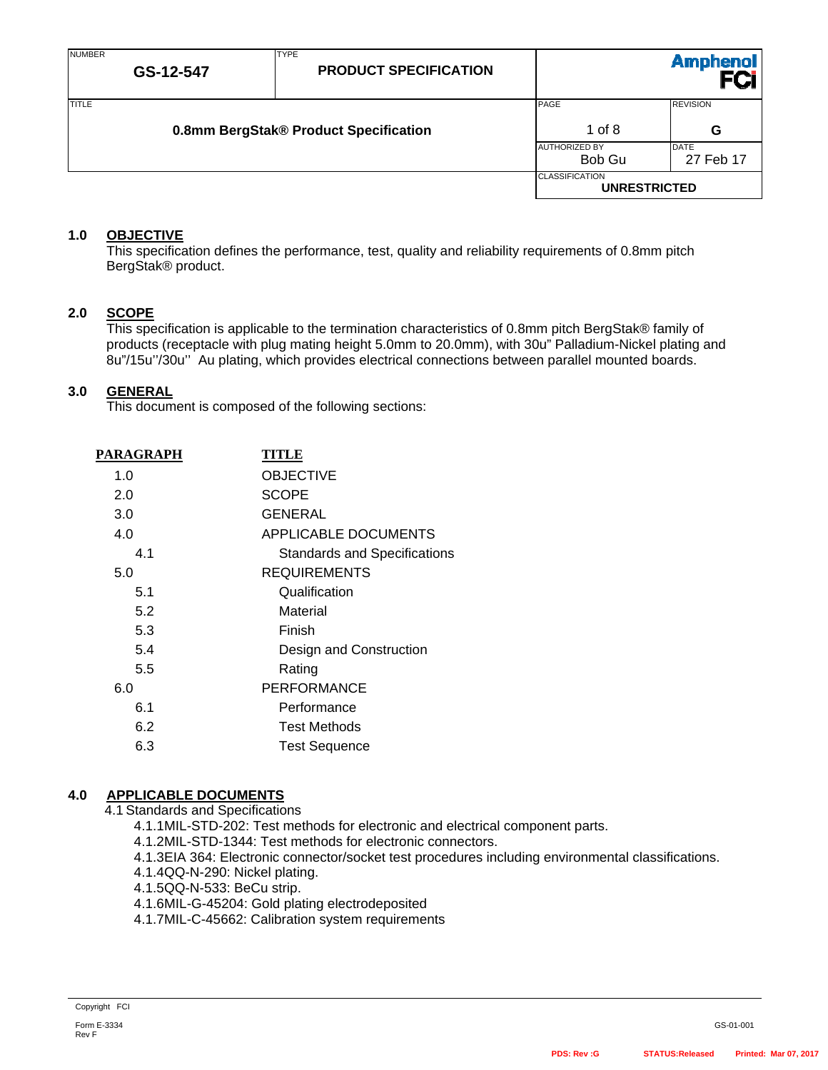| <b>NUMBER</b> | GS-12-547 | <b>TYPE</b><br><b>PRODUCT SPECIFICATION</b> |                                              | Amphenol<br>FCi          |
|---------------|-----------|---------------------------------------------|----------------------------------------------|--------------------------|
| <b>TITLE</b>  |           | 0.8mm BergStak® Product Specification       | PAGE<br>1 of $8$                             | <b>REVISION</b><br>G     |
|               |           |                                             | <b>AUTHORIZED BY</b><br>Bob Gu               | <b>DATE</b><br>27 Feb 17 |
|               |           |                                             | <b>CLASSIFICATION</b><br><b>UNRESTRICTED</b> |                          |

## **1.0 OBJECTIVE**

This specification defines the performance, test, quality and reliability requirements of 0.8mm pitch BergStak® product.

### **2.0 SCOPE**

This specification is applicable to the termination characteristics of 0.8mm pitch BergStak® family of products (receptacle with plug mating height 5.0mm to 20.0mm), with 30u" Palladium-Nickel plating and 8u"/15u''/30u'' Au plating, which provides electrical connections between parallel mounted boards.

### **3.0 GENERAL**

This document is composed of the following sections:

| PARAGRAPH | TITLE                               |
|-----------|-------------------------------------|
| 1.0       | <b>OBJECTIVE</b>                    |
| 2.0       | <b>SCOPE</b>                        |
| 3.0       | <b>GENERAL</b>                      |
| 4.0       | APPLICABLE DOCUMENTS                |
| 4.1       | <b>Standards and Specifications</b> |
| 5.0       | <b>REQUIREMENTS</b>                 |
| 5.1       | Qualification                       |
| 5.2       | Material                            |
| 5.3       | Finish                              |
| 5.4       | Design and Construction             |
| 5.5       | Rating                              |
| 6.0       | <b>PERFORMANCE</b>                  |
| 6.1       | Performance                         |
| 6.2       | <b>Test Methods</b>                 |
| 6.3       | <b>Test Sequence</b>                |

## **4.0 APPLICABLE DOCUMENTS**

4.1 Standards and Specifications

- 4.1.1 MIL-STD-202: Test methods for electronic and electrical component parts.
- 4.1.2 MIL-STD-1344: Test methods for electronic connectors.
- 4.1.3 EIA 364: Electronic connector/socket test procedures including environmental classifications.
- 4.1.4 QQ-N-290: Nickel plating.
- 4.1.5 QQ-N-533: BeCu strip.
- 4.1.6 MIL-G-45204: Gold plating electrodeposited
- 4.1.7 MIL-C-45662: Calibration system requirements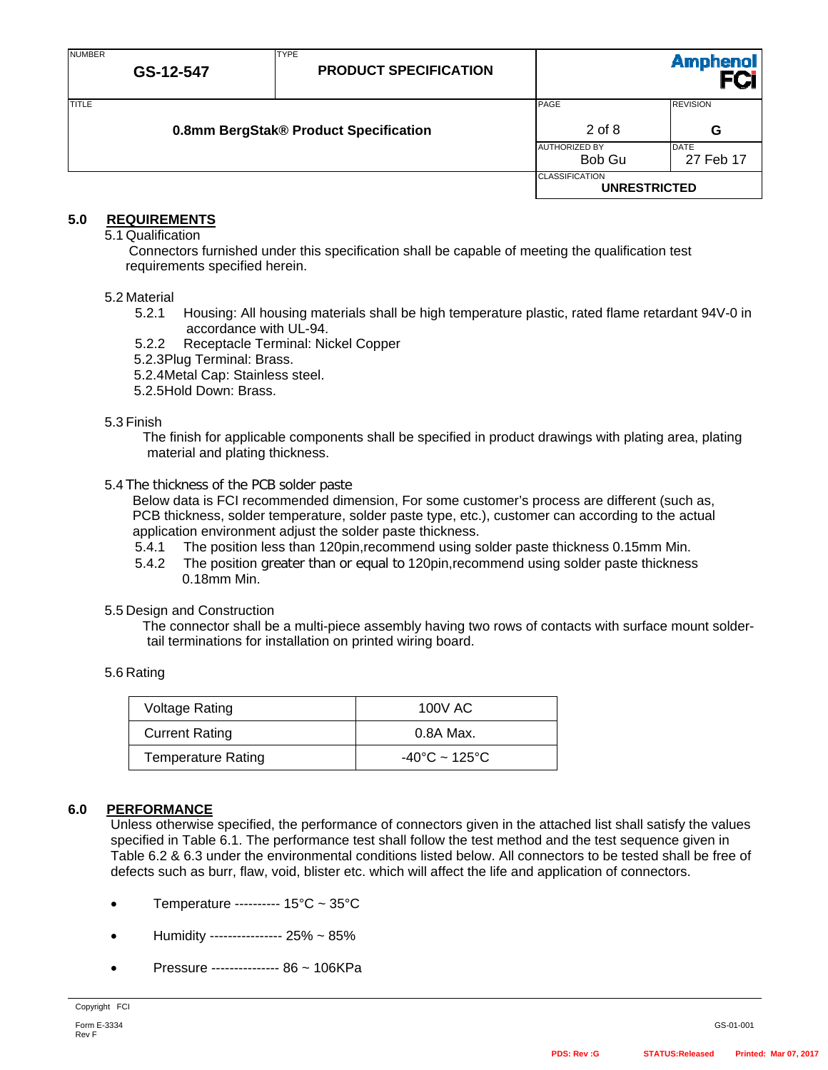| <b>NUMBER</b> | GS-12-547 | <b>TYPE</b><br><b>PRODUCT SPECIFICATION</b> |                                              | <b>Amphenol</b>          |
|---------------|-----------|---------------------------------------------|----------------------------------------------|--------------------------|
| <b>TITLE</b>  |           | 0.8mm BergStak® Product Specification       | PAGE<br>$2$ of 8                             | <b>REVISION</b><br>G     |
|               |           |                                             | <b>AUTHORIZED BY</b><br>Bob Gu               | <b>DATE</b><br>27 Feb 17 |
|               |           |                                             | <b>CLASSIFICATION</b><br><b>UNRESTRICTED</b> |                          |

## **5.0 REQUIREMENTS**

5.1 Qualification

Connectors furnished under this specification shall be capable of meeting the qualification test requirements specified herein.

#### 5.2 Material

- 5.2.1 Housing: All housing materials shall be high temperature plastic, rated flame retardant 94V-0 in accordance with UL-94.
- 5.2.2 Receptacle Terminal: Nickel Copper
- 5.2.3 Plug Terminal: Brass.

5.2.4 Metal Cap: Stainless steel.

5.2.5 Hold Down: Brass.

#### 5.3 Finish

The finish for applicable components shall be specified in product drawings with plating area, plating material and plating thickness.

#### 5.4 The thickness of the PCB solder paste

Below data is FCI recommended dimension, For some customer's process are different (such as, PCB thickness, solder temperature, solder paste type, etc.), customer can according to the actual application environment adjust the solder paste thickness.

- 5.4.1 The position less than 120pin,recommend using solder paste thickness 0.15mm Min.
- 5.4.2 The position greater than or equal to 120pin,recommend using solder paste thickness 0.18mm Min.

#### 5.5 Design and Construction

The connector shall be a multi-piece assembly having two rows of contacts with surface mount soldertail terminations for installation on printed wiring board.

#### 5.6 Rating

| <b>Voltage Rating</b>     | 100V AC                            |
|---------------------------|------------------------------------|
| <b>Current Rating</b>     | 0.8A Max.                          |
| <b>Temperature Rating</b> | $-40^{\circ}$ C ~ 125 $^{\circ}$ C |

### **6.0 PERFORMANCE**

Unless otherwise specified, the performance of connectors given in the attached list shall satisfy the values specified in Table 6.1. The performance test shall follow the test method and the test sequence given in Table 6.2 & 6.3 under the environmental conditions listed below. All connectors to be tested shall be free of defects such as burr, flaw, void, blister etc. which will affect the life and application of connectors.

- Temperature ---------- 15°C ~ 35°C
- Humidity ---------------- 25% ~ 85%
- Pressure --------------- 86 ~ 106KPa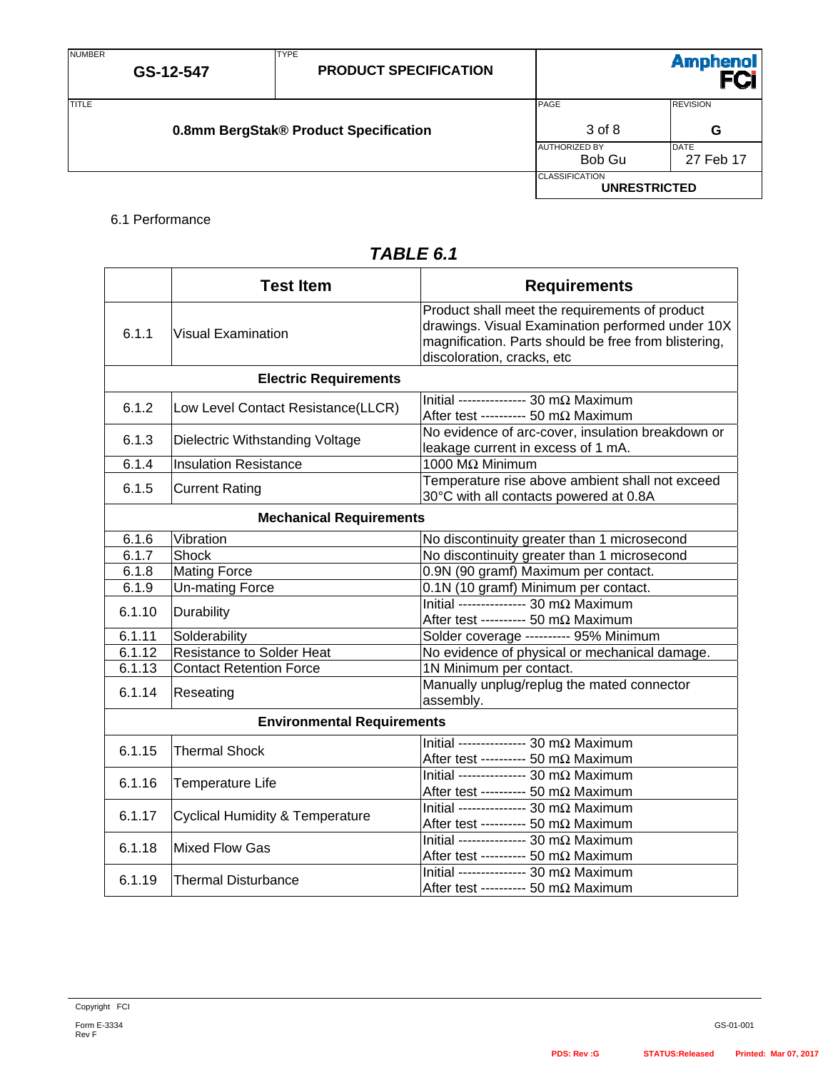NUMBER

|  | 0.8mm BergStak® Product Specification |
|--|---------------------------------------|
|  |                                       |

TYPE

**0.8mm BergStak® Product Specification 3** of 8 **G** AUTHORIZED BY DATE 27 Feb 17 **CLASSIFICATION UNRESTRICTED** 

## 6.1 Performance

| TABLE 6.1 |  |
|-----------|--|
|-----------|--|

|        | <b>Test Item</b>                           | <b>Requirements</b>                                                                                                                                                                      |  |
|--------|--------------------------------------------|------------------------------------------------------------------------------------------------------------------------------------------------------------------------------------------|--|
| 6.1.1  | <b>Visual Examination</b>                  | Product shall meet the requirements of product<br>drawings. Visual Examination performed under 10X<br>magnification. Parts should be free from blistering,<br>discoloration, cracks, etc |  |
|        | <b>Electric Requirements</b>               |                                                                                                                                                                                          |  |
| 6.1.2  | Low Level Contact Resistance(LLCR)         | Initial --------------- 30 m $\Omega$ Maximum<br>After test ---------- 50 m $\Omega$ Maximum                                                                                             |  |
| 6.1.3  | Dielectric Withstanding Voltage            | No evidence of arc-cover, insulation breakdown or<br>leakage current in excess of 1 mA.                                                                                                  |  |
| 6.1.4  | <b>Insulation Resistance</b>               | 1000 MΩ Minimum                                                                                                                                                                          |  |
| 6.1.5  | <b>Current Rating</b>                      | Temperature rise above ambient shall not exceed<br>30°C with all contacts powered at 0.8A                                                                                                |  |
|        | <b>Mechanical Requirements</b>             |                                                                                                                                                                                          |  |
| 6.1.6  | Vibration                                  | No discontinuity greater than 1 microsecond                                                                                                                                              |  |
| 6.1.7  | Shock                                      | No discontinuity greater than 1 microsecond                                                                                                                                              |  |
| 6.1.8  | <b>Mating Force</b>                        | 0.9N (90 gramf) Maximum per contact.                                                                                                                                                     |  |
| 6.1.9  | <b>Un-mating Force</b>                     | 0.1N (10 gramf) Minimum per contact.                                                                                                                                                     |  |
| 6.1.10 | Durability                                 | Initial --------------- 30 m $\Omega$ Maximum<br>After test ---------- 50 m $\Omega$ Maximum                                                                                             |  |
| 6.1.11 | Solderability                              | Solder coverage ---------- 95% Minimum                                                                                                                                                   |  |
| 6.1.12 | <b>Resistance to Solder Heat</b>           | No evidence of physical or mechanical damage.                                                                                                                                            |  |
| 6.1.13 | <b>Contact Retention Force</b>             | 1N Minimum per contact.                                                                                                                                                                  |  |
| 6.1.14 | Reseating                                  | Manually unplug/replug the mated connector<br>assembly.                                                                                                                                  |  |
|        | <b>Environmental Requirements</b>          |                                                                                                                                                                                          |  |
| 6.1.15 | <b>Thermal Shock</b>                       | Initial --------------- 30 m $\Omega$ Maximum<br>After test ---------- 50 m $\Omega$ Maximum                                                                                             |  |
| 6.1.16 | Temperature Life                           | Initial --------------- 30 m $\Omega$ Maximum<br>After test ---------- 50 m $\Omega$ Maximum                                                                                             |  |
| 6.1.17 | <b>Cyclical Humidity &amp; Temperature</b> | Initial --------------- 30 m $\Omega$ Maximum<br>After test ---------- 50 m $\Omega$ Maximum                                                                                             |  |
| 6.1.18 | Mixed Flow Gas                             | Initial --------------- 30 m $\Omega$ Maximum<br>After test ---------- 50 mΩ Maximum                                                                                                     |  |
| 6.1.19 | <b>Thermal Disturbance</b>                 | Initial --------------- 30 m $\Omega$ Maximum<br>After test ---------- 50 m $\Omega$ Maximum                                                                                             |  |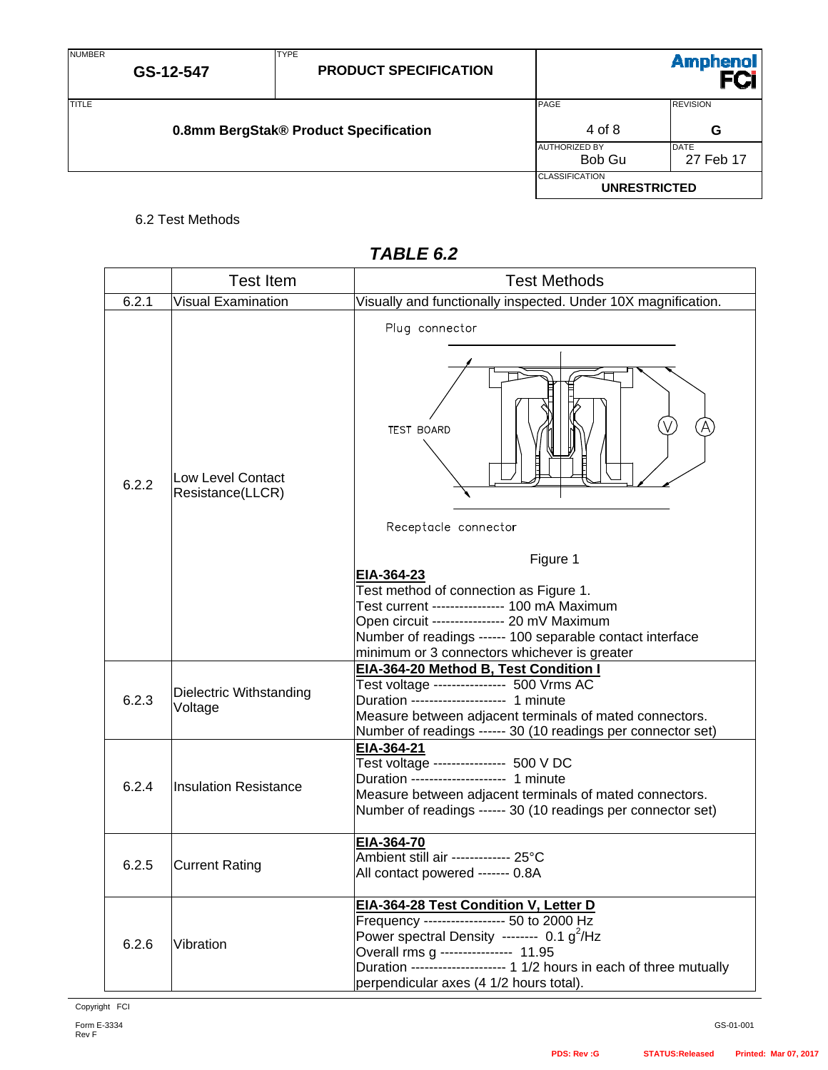| <b>NUMBER</b> | GS-12-547                             | <b>TYPE</b><br><b>PRODUCT SPECIFICATION</b> |                                              | <b>Amphenol</b>          |
|---------------|---------------------------------------|---------------------------------------------|----------------------------------------------|--------------------------|
| <b>TITLE</b>  | 0.8mm BergStak® Product Specification |                                             | PAGE<br>4 of 8                               | <b>REVISION</b><br>G     |
|               |                                       |                                             | <b>AUTHORIZED BY</b><br>Bob Gu               | <b>DATE</b><br>27 Feb 17 |
|               |                                       |                                             | <b>CLASSIFICATION</b><br><b>UNRESTRICTED</b> |                          |

## 6.2 Test Methods

|       | <b>Test Item</b>                      | <b>Test Methods</b>                                                                                                                                                                                                                                                                                                                         |
|-------|---------------------------------------|---------------------------------------------------------------------------------------------------------------------------------------------------------------------------------------------------------------------------------------------------------------------------------------------------------------------------------------------|
| 6.2.1 | <b>Visual Examination</b>             | Visually and functionally inspected. Under 10X magnification.                                                                                                                                                                                                                                                                               |
| 6.2.2 | Low Level Contact<br>Resistance(LLCR) | Plug connector<br><b>TEST BOARD</b><br>Receptacle connector<br>Figure 1<br>EIA-364-23<br>Test method of connection as Figure 1.<br>Test current ---------------- 100 mA Maximum<br>Open circuit ---------------- 20 mV Maximum<br>Number of readings ------ 100 separable contact interface<br>minimum or 3 connectors whichever is greater |
| 6.2.3 | Dielectric Withstanding<br>Voltage    | EIA-364-20 Method B, Test Condition I<br>Test voltage ---------------- 500 Vrms AC<br>Duration -------------------- 1 minute<br>Measure between adjacent terminals of mated connectors.<br>Number of readings ------ 30 (10 readings per connector set)                                                                                     |
| 6.2.4 | <b>Insulation Resistance</b>          | EIA-364-21<br>Test voltage ---------------- 500 V DC<br>Duration -------------------- 1 minute<br>Measure between adjacent terminals of mated connectors.<br>Number of readings ------ 30 (10 readings per connector set)                                                                                                                   |
| 6.2.5 | <b>Current Rating</b>                 | EIA-364-70<br>Ambient still air ------------- 25°C<br>All contact powered ------- 0.8A                                                                                                                                                                                                                                                      |
| 6.2.6 | Vibration                             | EIA-364-28 Test Condition V, Letter D<br>Frequency ------------------ 50 to 2000 Hz<br>Power spectral Density -------- 0.1 g <sup>2</sup> /Hz<br>Overall rms g --------------- 11.95<br>Duration -------------------- 1 1/2 hours in each of three mutually<br>perpendicular axes (4 1/2 hours total).                                      |

# *TABLE 6.2*

GS-01-001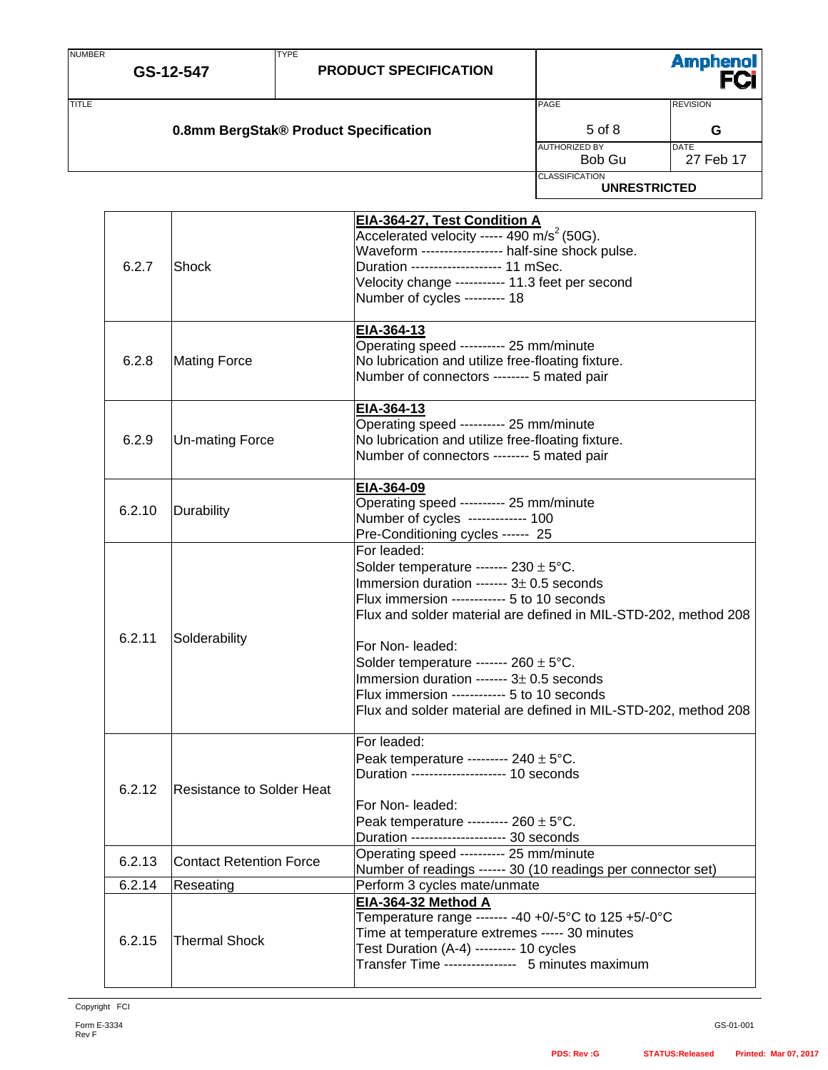| <b>NUMBER</b>                                  | GS-12-547 | <b>TYPE</b><br><b>PRODUCT SPECIFICATION</b> |                                | Amphenol<br>FCi          |
|------------------------------------------------|-----------|---------------------------------------------|--------------------------------|--------------------------|
| TITLE<br>0.8mm BergStak® Product Specification |           |                                             | PAGE<br>$5$ of $8$             | <b>REVISION</b><br>G     |
|                                                |           |                                             | <b>AUTHORIZED BY</b><br>Bob Gu | <b>DATE</b><br>27 Feb 17 |
|                                                |           |                                             | <b>CLASSIFICATION</b>          | <b>UNRESTRICTED</b>      |

| 6.2.7  | Shock                          | EIA-364-27, Test Condition A<br>Accelerated velocity ----- 490 m/s <sup>2</sup> (50G).<br>Waveform ------------------ half-sine shock pulse.<br>Duration -------------------- 11 mSec.<br>Velocity change ---------- 11.3 feet per second<br>Number of cycles --------- 18                                                                                                                                                                                                      |
|--------|--------------------------------|---------------------------------------------------------------------------------------------------------------------------------------------------------------------------------------------------------------------------------------------------------------------------------------------------------------------------------------------------------------------------------------------------------------------------------------------------------------------------------|
| 6.2.8  | <b>Mating Force</b>            | EIA-364-13<br>Operating speed --------- 25 mm/minute<br>No lubrication and utilize free-floating fixture.<br>Number of connectors -------- 5 mated pair                                                                                                                                                                                                                                                                                                                         |
| 6.2.9  | <b>Un-mating Force</b>         | EIA-364-13<br>Operating speed --------- 25 mm/minute<br>No lubrication and utilize free-floating fixture.<br>Number of connectors -------- 5 mated pair                                                                                                                                                                                                                                                                                                                         |
| 6.2.10 | Durability                     | EIA-364-09<br>Operating speed --------- 25 mm/minute<br>Number of cycles ------------- 100<br>Pre-Conditioning cycles ------ 25                                                                                                                                                                                                                                                                                                                                                 |
| 6.2.11 | Solderability                  | For leaded:<br>Solder temperature ------- $230 \pm 5^{\circ}$ C.<br>Immersion duration ------- $3\pm$ 0.5 seconds<br>Flux immersion ------------ 5 to 10 seconds<br>Flux and solder material are defined in MIL-STD-202, method 208<br>For Non- leaded:<br>Solder temperature ------- $260 \pm 5^{\circ}$ C.<br>Immersion duration ------- $3\pm$ 0.5 seconds<br>Flux immersion ------------ 5 to 10 seconds<br>Flux and solder material are defined in MIL-STD-202, method 208 |
| 6.2.12 | Resistance to Solder Heat      | For leaded:<br>Peak temperature --------- $240 \pm 5^{\circ}$ C.<br>Duration -------------------- 10 seconds<br>For Non-leaded:<br>Peak temperature --------- $260 \pm 5^{\circ}$ C.<br>Duration --------------------- 30 seconds                                                                                                                                                                                                                                               |
| 6.2.13 | <b>Contact Retention Force</b> | Operating speed ---------- 25 mm/minute<br>Number of readings ------ 30 (10 readings per connector set)                                                                                                                                                                                                                                                                                                                                                                         |
| 6.2.14 | Reseating                      | Perform 3 cycles mate/unmate                                                                                                                                                                                                                                                                                                                                                                                                                                                    |
| 6.2.15 | <b>Thermal Shock</b>           | EIA-364-32 Method A<br>Temperature range ------- -40 +0/-5°C to 125 +5/-0°C<br>Time at temperature extremes ----- 30 minutes<br>Test Duration (A-4) --------- 10 cycles<br>Transfer Time ---------------- 5 minutes maximum                                                                                                                                                                                                                                                     |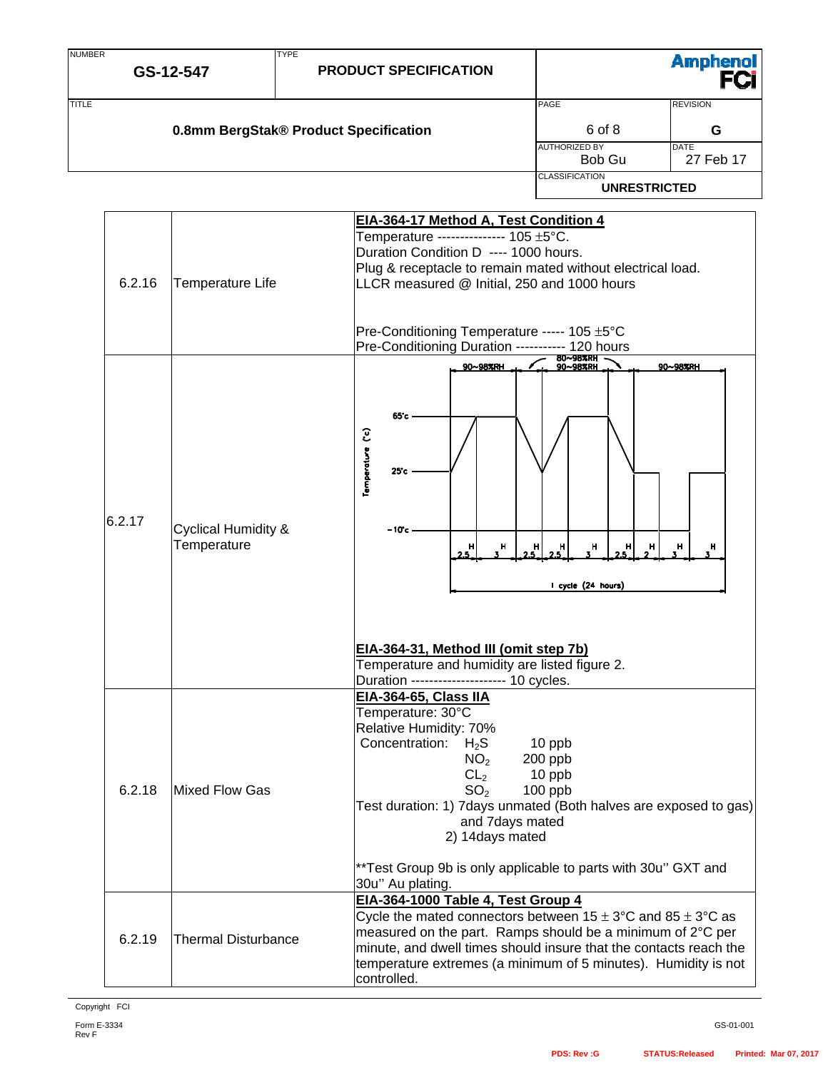| <b>NUMBER</b> | <b>TYPE</b>                                   | <b>Amphenol</b>                                                                                                                                                                                                                                                                                                                                                                                                                    |
|---------------|-----------------------------------------------|------------------------------------------------------------------------------------------------------------------------------------------------------------------------------------------------------------------------------------------------------------------------------------------------------------------------------------------------------------------------------------------------------------------------------------|
|               | GS-12-547                                     | <b>PRODUCT SPECIFICATION</b>                                                                                                                                                                                                                                                                                                                                                                                                       |
| <b>TITLE</b>  |                                               | PAGE<br><b>REVISION</b><br>6 of 8<br>0.8mm BergStak® Product Specification<br>G<br><b>AUTHORIZED BY</b><br><b>DATE</b><br>27 Feb 17<br>Bob Gu                                                                                                                                                                                                                                                                                      |
|               |                                               | <b>CLASSIFICATION</b><br><b>UNRESTRICTED</b>                                                                                                                                                                                                                                                                                                                                                                                       |
| 6.2.16        | Temperature Life                              | EIA-364-17 Method A, Test Condition 4<br>Temperature --------------- 105 ±5°C.<br>Duration Condition D ---- 1000 hours.<br>Plug & receptacle to remain mated without electrical load.<br>LLCR measured @ Initial, 250 and 1000 hours<br>Pre-Conditioning Temperature ----- 105 ±5°C<br>Pre-Conditioning Duration ---------- 120 hours                                                                                              |
| 6.2.17        | <b>Cyclical Humidity &amp;</b><br>Temperature | 80~98%RH<br>90~98%RH<br>90~98%RH<br>90~98%RH<br>65°c<br>Temperature (°c)<br>25c<br>– 10°c -<br>н<br>н<br>н<br>н<br>H<br>5<br>H<br>н<br>н<br>н<br>25<br>I cycle (24 hours)<br>EIA-364-31, Method III (omit step 7b)<br>Temperature and humidity are listed figure 2.<br>Duration -------------------- 10 cycles.                                                                                                                    |
| 6.2.18        | <b>Mixed Flow Gas</b>                         | <b>EIA-364-65, Class IIA</b><br>Temperature: 30°C<br>Relative Humidity: 70%<br>Concentration:<br>$H_2S$<br>10 ppb<br>NO <sub>2</sub><br>200 ppb<br>CL <sub>2</sub><br>10 ppb<br>SO <sub>2</sub><br>100 ppb<br>Test duration: 1) 7 days unmated (Both halves are exposed to gas)<br>and 7days mated<br>2) 14days mated                                                                                                              |
| 6.2.19        | <b>Thermal Disturbance</b>                    | **Test Group 9b is only applicable to parts with 30u" GXT and<br>30u" Au plating.<br>EIA-364-1000 Table 4, Test Group 4<br>Cycle the mated connectors between $15 \pm 3^{\circ}$ C and $85 \pm 3^{\circ}$ C as<br>measured on the part. Ramps should be a minimum of 2°C per<br>minute, and dwell times should insure that the contacts reach the<br>temperature extremes (a minimum of 5 minutes). Humidity is not<br>controlled. |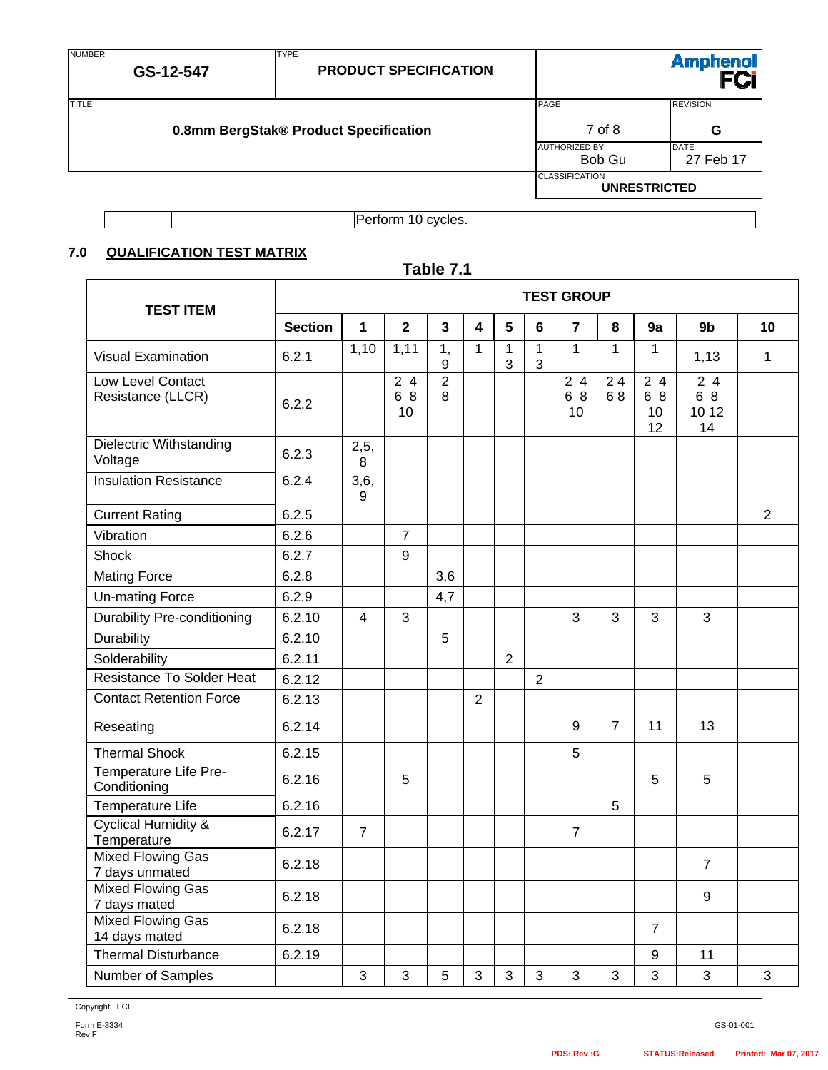| <b>NUMBER</b> | GS-12-547                             | <b>TYPE</b><br><b>PRODUCT SPECIFICATION</b> |                                | <b>Amphenol</b>          |  |
|---------------|---------------------------------------|---------------------------------------------|--------------------------------|--------------------------|--|
| <b>ITITLE</b> |                                       |                                             | PAGE                           | <b>REVISION</b>          |  |
|               | 0.8mm BergStak® Product Specification | 7 of 8                                      | G                              |                          |  |
|               |                                       |                                             | <b>AUTHORIZED BY</b><br>Bob Gu | <b>DATE</b><br>27 Feb 17 |  |
|               |                                       |                                             | <b>CLASSIFICATION</b>          | <b>UNRESTRICTED</b>      |  |
|               | Perform 10 cycles.                    |                                             |                                |                          |  |

Perform 10 cycles.

## **7.0 QUALIFICATION TEST MATRIX**

#### **Table 7.1 TEST ITEM TEST GROUP Section 1 2 3 4 5 6 7 8 9a 9b 10**  Visual Examination 6.2.1 1,10 1,11 1, 9  $1 \mid 1$ 3 1 3  $1 \mid 1 \mid 1 \mid 1,13 \mid 1$ Low Level Contact Resistance (LLCR)  $\Big|_{6.2.2}$  2 4 6 8 10 2 8 2 4 6 8 10 2 4 6 8  $2\bar{4}$ 6 8 10 12  $\overline{24}$ 6 8 10 12 14 Dielectric Withstanding Voltage 6.2.3 2,5, 8 Insulation Resistance | 6.2.4 | 3,6, 9 Current Rating 6.2.5 2 Vibration 6.2.6 7 Shock 6.2.7 9 Mating Force 6.2.8  $\vert$   $\vert$  3,6 Un-mating Force 6.2.9 4,7 Durability Pre-conditioning 6.2.10 4 3 3 3 3 3 Durability | 6.2.10 | | | 5 Solderability | 6.2.11 | | | | | | 2 Resistance To Solder Heat 6.2.12 2 Contact Retention Force 6.2.13 2 Reseating | 6.2.14 | | | 9 | 7 | 11 | 13 Thermal Shock 6.2.15 5 Temperature Life Pre-Conditioning 6.2.16 5 5 5 Temperature Life 6.2.16 5 Cyclical Humidity & Temperature 6.2.17 7 7 Mixed Flowing Gas 7 days unmated 6.2.18 7 Mixed Flowing Gas  $\frac{7 \text{ days} \text{ mated}}{2 \text{ days} \text{ mated}}$  (6.2.18 ) | | | | | | | | | 9 Mixed Flowing Gas Mixed Flowing Gas<br>14 days mated  $\begin{bmatrix} 6.2.18 \\ \end{bmatrix}$   $\begin{bmatrix} 1 \\ \end{bmatrix}$   $\begin{bmatrix} 1 \\ \end{bmatrix}$   $\begin{bmatrix} 7 \\ \end{bmatrix}$ Thermal Disturbance 6.2.19 9 11 Number of Samples 3 3 5 3 3 3 3 3 3 3 3

Copyright FCI